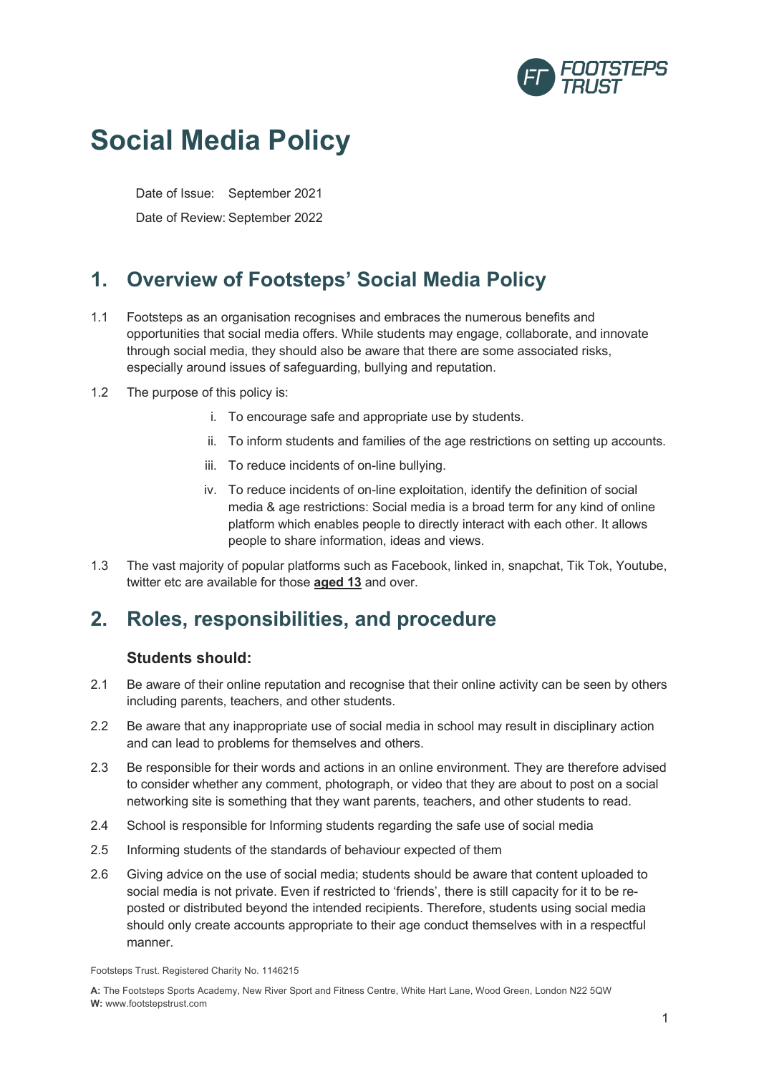

# **Social Media Policy**

Date of Issue: September 2021

Date of Review: September 2022

## **1. Overview of Footsteps' Social Media Policy**

- 1.1 Footsteps as an organisation recognises and embraces the numerous benefits and opportunities that social media offers. While students may engage, collaborate, and innovate through social media, they should also be aware that there are some associated risks, especially around issues of safeguarding, bullying and reputation.
- 1.2 The purpose of this policy is:
	- i. To encourage safe and appropriate use by students.
	- ii. To inform students and families of the age restrictions on setting up accounts.
	- iii. To reduce incidents of on-line bullying.
	- iv. To reduce incidents of on-line exploitation, identify the definition of social media & age restrictions: Social media is a broad term for any kind of online platform which enables people to directly interact with each other. It allows people to share information, ideas and views.
- 1.3 The vast majority of popular platforms such as Facebook, linked in, snapchat, Tik Tok, Youtube, twitter etc are available for those **aged 13** and over.

### **2. Roles, responsibilities, and procedure**

#### **Students should:**

- 2.1 Be aware of their online reputation and recognise that their online activity can be seen by others including parents, teachers, and other students.
- 2.2 Be aware that any inappropriate use of social media in school may result in disciplinary action and can lead to problems for themselves and others.
- 2.3 Be responsible for their words and actions in an online environment. They are therefore advised to consider whether any comment, photograph, or video that they are about to post on a social networking site is something that they want parents, teachers, and other students to read.
- 2.4 School is responsible for Informing students regarding the safe use of social media
- 2.5 Informing students of the standards of behaviour expected of them
- 2.6 Giving advice on the use of social media; students should be aware that content uploaded to social media is not private. Even if restricted to 'friends', there is still capacity for it to be reposted or distributed beyond the intended recipients. Therefore, students using social media should only create accounts appropriate to their age conduct themselves with in a respectful manner.

Footsteps Trust. Registered Charity No. 1146215

**A:** The Footsteps Sports Academy, New River Sport and Fitness Centre, White Hart Lane, Wood Green, London N22 5QW **W:** www.footstepstrust.com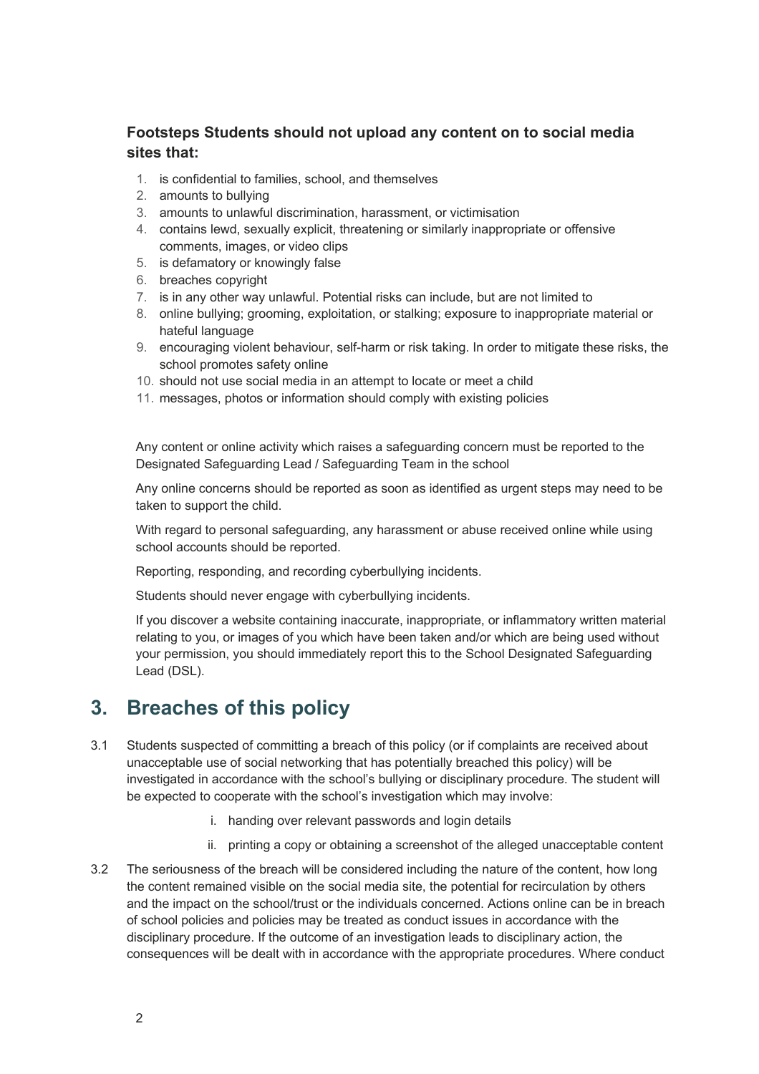#### **Footsteps Students should not upload any content on to social media sites that:**

- 1. is confidential to families, school, and themselves
- 2. amounts to bullying
- 3. amounts to unlawful discrimination, harassment, or victimisation
- 4. contains lewd, sexually explicit, threatening or similarly inappropriate or offensive comments, images, or video clips
- 5. is defamatory or knowingly false
- 6. breaches copyright
- 7. is in any other way unlawful. Potential risks can include, but are not limited to
- 8. online bullying; grooming, exploitation, or stalking; exposure to inappropriate material or hateful language
- 9. encouraging violent behaviour, self-harm or risk taking. In order to mitigate these risks, the school promotes safety online
- 10. should not use social media in an attempt to locate or meet a child
- 11. messages, photos or information should comply with existing policies

Any content or online activity which raises a safeguarding concern must be reported to the Designated Safeguarding Lead / Safeguarding Team in the school

Any online concerns should be reported as soon as identified as urgent steps may need to be taken to support the child.

With regard to personal safeguarding, any harassment or abuse received online while using school accounts should be reported.

Reporting, responding, and recording cyberbullying incidents.

Students should never engage with cyberbullying incidents.

If you discover a website containing inaccurate, inappropriate, or inflammatory written material relating to you, or images of you which have been taken and/or which are being used without your permission, you should immediately report this to the School Designated Safeguarding Lead (DSL).

### **3. Breaches of this policy**

- 3.1 Students suspected of committing a breach of this policy (or if complaints are received about unacceptable use of social networking that has potentially breached this policy) will be investigated in accordance with the school's bullying or disciplinary procedure. The student will be expected to cooperate with the school's investigation which may involve:
	- i. handing over relevant passwords and login details
	- ii. printing a copy or obtaining a screenshot of the alleged unacceptable content
- 3.2 The seriousness of the breach will be considered including the nature of the content, how long the content remained visible on the social media site, the potential for recirculation by others and the impact on the school/trust or the individuals concerned. Actions online can be in breach of school policies and policies may be treated as conduct issues in accordance with the disciplinary procedure. If the outcome of an investigation leads to disciplinary action, the consequences will be dealt with in accordance with the appropriate procedures. Where conduct